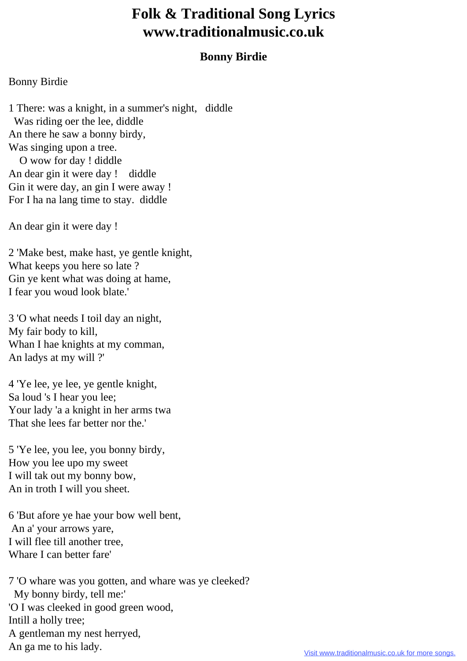## **Folk & Traditional Song Lyrics www.traditionalmusic.co.uk**

## **Bonny Birdie**

## Bonny Birdie

1 There: was a knight, in a summer's night, diddle Was riding oer the lee, diddle An there he saw a bonny birdy, Was singing upon a tree. O wow for day ! diddle An dear gin it were day ! diddle Gin it were day, an gin I were away ! For I ha na lang time to stay. diddle

An dear gin it were day !

2 'Make best, make hast, ye gentle knight, What keeps you here so late ? Gin ye kent what was doing at hame, I fear you woud look blate.'

3 'O what needs I toil day an night, My fair body to kill, Whan I hae knights at my comman, An ladys at my will ?'

4 'Ye lee, ye lee, ye gentle knight, Sa loud 's I hear you lee; Your lady 'a a knight in her arms twa That she lees far better nor the.'

5 'Ye lee, you lee, you bonny birdy, How you lee upo my sweet I will tak out my bonny bow, An in troth I will you sheet.

6 'But afore ye hae your bow well bent, An a' your arrows yare, I will flee till another tree, Whare I can better fare'

7 'O whare was you gotten, and whare was ye cleeked? My bonny birdy, tell me:' 'O I was cleeked in good green wood, Intill a holly tree; A gentleman my nest herryed, An ga me to his lady.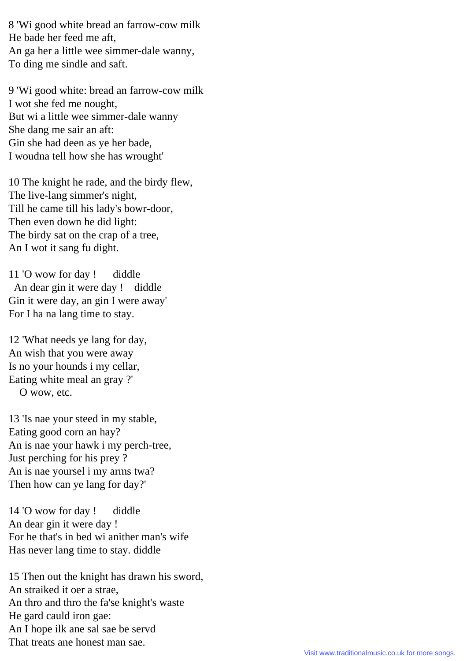8 'Wi good white bread an farrow-cow milk He bade her feed me aft, An ga her a little wee simmer-dale wanny, To ding me sindle and saft.

9 'Wi good white: bread an farrow-cow milk I wot she fed me nought, But wi a little wee simmer-dale wanny She dang me sair an aft: Gin she had deen as ye her bade, I woudna tell how she has wrought'

10 The knight he rade, and the birdy flew, The live-lang simmer's night, Till he came till his lady's bowr-door, Then even down he did light: The birdy sat on the crap of a tree, An I wot it sang fu dight.

11 'O wow for day ! diddle An dear gin it were day ! diddle Gin it were day, an gin I were away' For I ha na lang time to stay.

12 'What needs ye lang for day, An wish that you were away Is no your hounds i my cellar, Eating white meal an gray ?' O wow, etc.

13 'Is nae your steed in my stable, Eating good corn an hay? An is nae your hawk i my perch-tree, Just perching for his prey ? An is nae yoursel i my arms twa? Then how can ye lang for day?'

14 'O wow for day ! diddle An dear gin it were day ! For he that's in bed wi anither man's wife Has never lang time to stay. diddle

15 Then out the knight has drawn his sword, An straiked it oer a strae, An thro and thro the fa'se knight's waste He gard cauld iron gae: An I hope ilk ane sal sae be servd That treats ane honest man sae.